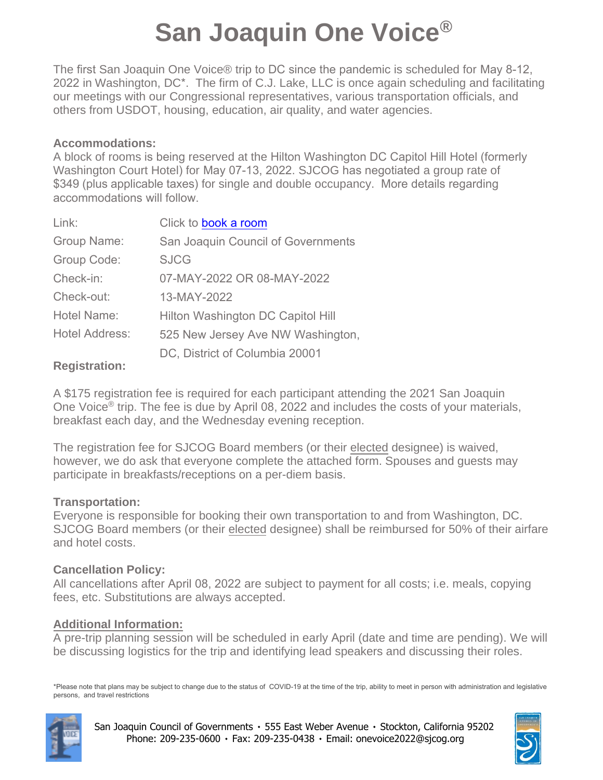# **San Joaquin One Voice®**

The first San Joaquin One Voice® trip to DC since the pandemic is scheduled for May 8-12, 2022 in Washington, DC\*. The firm of C.J. Lake, LLC is once again scheduling and facilitating our meetings with our Congressional representatives, various transportation officials, and others from USDOT, housing, education, air quality, and water agencies.

#### **Accommodations:**

A block of rooms is being reserved at the Hilton Washington DC Capitol Hill Hotel (formerly Washington Court Hotel) for May 07-13, 2022. SJCOG has negotiated a group rate of \$349 (plus applicable taxes) for single and double occupancy. More details regarding accommodations will follow.

| Link:                 | Click to book a room               |
|-----------------------|------------------------------------|
| Group Name:           | San Joaquin Council of Governments |
| Group Code:           | <b>SJCG</b>                        |
| Check-in:             | 07-MAY-2022 OR 08-MAY-2022         |
| Check-out:            | 13-MAY-2022                        |
| Hotel Name:           | Hilton Washington DC Capitol Hill  |
| <b>Hotel Address:</b> | 525 New Jersey Ave NW Washington,  |
|                       | DC, District of Columbia 20001     |

### **Registration:**

A \$175 registration fee is required for each participant attending the 2021 San Joaquin One Voice® trip. The fee is due by April 08, 2022 and includes the costs of your materials, breakfast each day, and the Wednesday evening reception.

The registration fee for SJCOG Board members (or their elected designee) is waived, however, we do ask that everyone complete the attached form. Spouses and guests may participate in breakfasts/receptions on a per-diem basis.

### **Transportation:**

Everyone is responsible for booking their own transportation to and from Washington, DC. SJCOG Board members (or their elected designee) shall be reimbursed for 50% of their airfare and hotel costs.

### **Cancellation Policy:**

All cancellations after April 08, 2022 are subject to payment for all costs; i.e. meals, copying fees, etc. Substitutions are always accepted.

### **Additional Information:**

A pre-trip planning session will be scheduled in early April (date and time are pending). We will be discussing logistics for the trip and identifying lead speakers and discussing their roles.

\*Please note that plans may be subject to change due to the status of COVID-19 at the time of the trip, ability to meet in person with administration and legislative persons, and travel restrictions